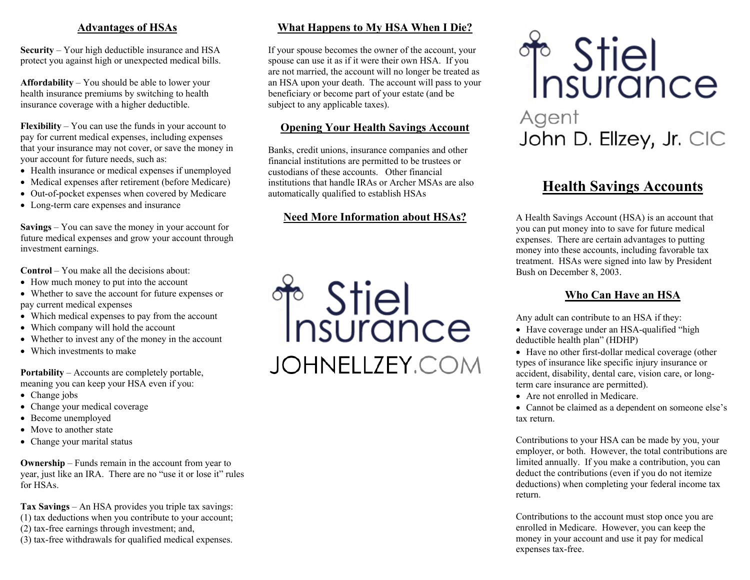#### **Advantages of HSAs**

**Security** – Your high deductible insurance and HSA protect you against high or unexpected medical bills.

**Affordability** – You should be able to lower your health insurance premiums by switching to health insurance coverage with a higher deductible.

**Flexibility** – You can use the funds in your account to pay for current medical expenses, including expenses that your insurance may not cover, or save the money in your account for future needs, such as:

- Health insurance or medical expenses if unemployed
- Medical expenses after retirement (before Medicare)
- Out-of-pocket expenses when covered by Medicare
- Long-term care expenses and insurance

**Savings** – You can save the money in your account for future medical expenses and grow your account through investment earnings.

**Control** – You make all the decisions about:

- How much money to put into the account
- Whether to save the account for future expenses or pay current medical expenses
- Which medical expenses to pay from the account
- $\bullet$  Which company will hold the account
- Whether to invest any of the money in the account
- Which investments to make

**Portability** – Accounts are completely portable, meaning you can keep your HSA even if you:

- $\bullet$  Change jobs
- Change your medical coverage
- Become unemployed
- Move to another state
- Change your marital status

**Ownership** – Funds remain in the account from year to year, just like an IRA. There are no "use it or lose it" rules for HSAs.

**Tax Savings** – An HSA provides you triple tax savings:

- (1) tax deductions when you contribute to your account;
- (2) tax-free earnings through investment; and,
- (3) tax-free withdrawals for qualified medical expenses.

# **What Happens to My HSA When I Die?**

If your spouse becomes the owner of the account, your spouse can use it as if it were their own HSA. If you are not married, the account will no longer be treated as an HSA upon your death. The account will pass to your beneficiary or become part of your estate (and be subject to any applicable taxes).

# **Opening Your Health Savings Account**

Banks, credit unions, insurance companies and other financial institutions are permitted to be trustees or custodians of these accounts. Other financial institutions that handle IRAs or Archer MSAs are also automatically qualified to establish HSAs

# **Need More Information about HSAs?**

 $\rho$  $\mathcal{L}$  of  $\mathcal{L}$  $\sigma$   $\sim$   $\sim$   $\sim$   $\sim$   $\sim$   $\sim$ Accounts") or directly at the following address: <http://www.treas.gov/offices/public-affairs/hsa/>. **JOHNELLZEY.COM** 



# **Health Savings Accounts**

A Health Savings Account (HSA) is an account that you can put money into to save for future medical expenses. There are certain advantages to putting money into these accounts, including favorable tax treatment. HSAs were signed into law by President Bush on December 8, 2003.

## **Who Can Have an HSA**

Any adult can contribute to an HSA if they:

- Have coverage under an HSA-qualified "high deductible health plan" (HDHP)
- Have no other first-dollar medical coverage (other types of insurance like specific injury insurance or accident, disability, dental care, vision care, or longterm care insurance are permitted).
- Are not enrolled in Medicare.

• Cannot be claimed as a dependent on someone else's tax return.

Contributions to your HSA can be made by you, your employer, or both. However, the total contributions are limited annually. If you make a contribution, you can deduct the contributions (even if you do not itemize deductions) when completing your federal income tax return.

Contributions to the account must stop once you are enrolled in Medicare. However, you can keep the money in your account and use it pay for medical expenses tax-free.